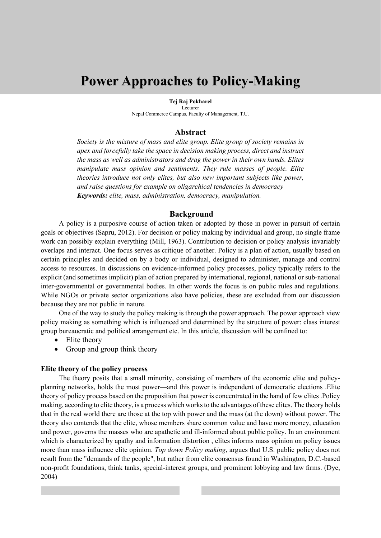# **Power Approaches to Policy-Making**

**Tej Raj Pokharel** Lecturer Nepal Commerce Campus, Faculty of Management, T.U.

#### **Abstract**

*Society is the mixture of mass and elite group. Elite group of society remains in apex and forcefully take the space in decision making process, direct and instruct the mass as well as administrators and drag the power in their own hands. Elites manipulate mass opinion and sentiments. They rule masses of people. Elite theories introduce not only elites, but also new important subjects like power, and raise questions for example on oligarchical tendencies in democracy Keywords: elite, mass, administration, democracy, manipulation.*

#### **Background**

A policy is a purposive course of action taken or adopted by those in power in pursuit of certain goals or objectives (Sapru, 2012). For decision or policy making by individual and group, no single frame work can possibly explain everything (Mill, 1963). Contribution to decision or policy analysis invariably overlaps and interact. One focus serves as critique of another. Policy is a plan of action, usually based on certain principles and decided on by a body or individual, designed to administer, manage and control access to resources. In discussions on evidence-informed policy processes, policy typically refers to the explicit (and sometimes implicit) plan of action prepared by international, regional, national or sub-national inter-governmental or governmental bodies. In other words the focus is on public rules and regulations. While NGOs or private sector organizations also have policies, these are excluded from our discussion because they are not public in nature.

One of the way to study the policy making is through the power approach. The power approach view policy making as something which is influenced and determined by the structure of power: class interest group bureaucratic and political arrangement etc. In this article, discussion will be confined to:

- Elite theory
- Group and group think theory

#### **Elite theory of the policy process**

The theory posits that a small minority, consisting of members of the economic elite and policyplanning networks, holds the most power—and this power is independent of democratic elections .Elite theory of policy process based on the proposition that power is concentrated in the hand of few elites .Policy making, according to elite theory, is a process which works to the advantages of these elites. The theory holds that in the real world there are those at the top with power and the mass (at the down) without power. The theory also contends that the elite, whose members share common value and have more money, education and power, governs the masses who are apathetic and ill-informed about public policy. In an environment which is characterized by apathy and information distortion, elites informs mass opinion on policy issues more than mass influence elite opinion. *Top down Policy making*, argues that U.S. public policy does not result from the "demands of the people", but rather from elite consensus found in Washington, D.C.-based non-profit foundations, think tanks, special-interest groups, and prominent lobbying and law firms. (Dye, 2004)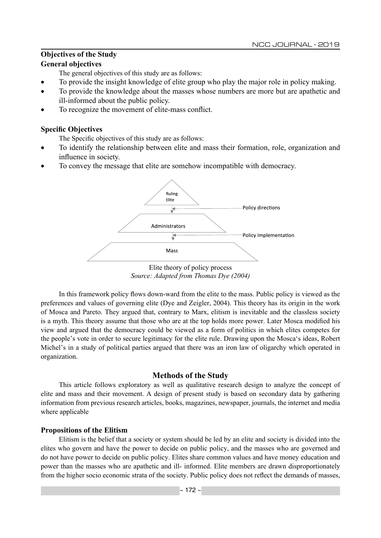## **Objectives of the Study**

## **General objectives**

The general objectives of this study are as follows:

- To provide the insight knowledge of elite group who play the major role in policy making.
- To provide the knowledge about the masses whose numbers are more but are apathetic and ill-informed about the public policy.
- To recognize the movement of elite-mass conflict.

## **Specific Objectives**

The Specific objectives of this study are as follows:

- To identify the relationship between elite and mass their formation, role, organization and influence in society.
- To convey the message that elite are somehow incompatible with democracy.



Elite theory of policy process *Source: Adapted from Thomas Dye (2004)*

In this framework policy flows down-ward from the elite to the mass. Public policy is viewed as the preferences and values of governing elite (Dye and Zeigler, 2004). This theory has its origin in the work of Mosca and Pareto. They argued that, contrary to Marx, elitism is inevitable and the classless society is a myth. This theory assume that those who are at the top holds more power. Later Mosca modified his view and argued that the democracy could be viewed as a form of politics in which elites competes for the people's vote in order to secure legitimacy for the elite rule. Drawing upon the Mosca's ideas, Robert Michel's in a study of political parties argued that there was an iron law of oligarchy which operated in organization.

## **Methods of the Study**

This article follows exploratory as well as qualitative research design to analyze the concept of elite and mass and their movement. A design of present study is based on secondary data by gathering information from previous research articles, books, magazines, newspaper, journals, the internet and media where applicable

## **Propositions of the Elitism**

Elitism is the belief that a society or system should be led by an elite and society is divided into the elites who govern and have the power to decide on public policy, and the masses who are governed and do not have power to decide on public policy. Elites share common values and have money education and power than the masses who are apathetic and ill- informed. Elite members are drawn disproportionately from the higher socio economic strata of the society. Public policy does not reflect the demands of masses,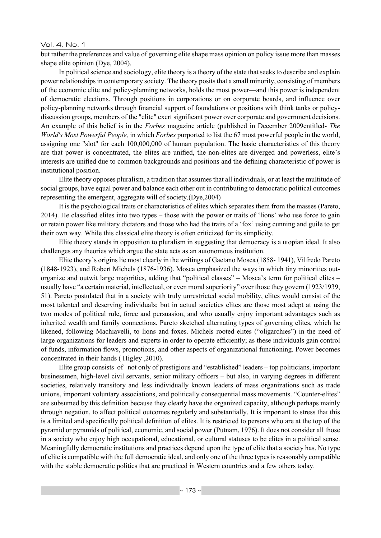#### Vol. 4, No. 1

but rather the preferences and value of governing elite shape mass opinion on policy issue more than masses shape elite opinion (Dye, 2004).

In political science and sociology, elite theory is a theory of the state that seeks to describe and explain power relationships in contemporary society. The theory posits that a small minority, consisting of members of the economic elite and policy-planning networks, holds the most power—and this power is independent of democratic elections. Through positions in corporations or on corporate boards, and influence over policy-planning networks through financial support of foundations or positions with think tanks or policydiscussion groups, members of the "elite" exert significant power over corporate and government decisions. An example of this belief is in the *Forbes* magazine article (published in December 2009entitled- *The World's Most Powerful People,* in which *Forbes* purported to list the 67 most powerful people in the world, assigning one "slot" for each 100,000,000 of human population. The basic characteristics of this theory are that power is concentrated, the elites are unified, the non-elites are diverged and powerless, elite's interests are unified due to common backgrounds and positions and the defining characteristic of power is institutional position.

Elite theory opposes pluralism, a tradition that assumes that all individuals, or at least the multitude of social groups, have equal power and balance each other out in contributing to democratic political outcomes representing the emergent, aggregate will of society.(Dye,2004)

It is the psychological traits or characteristics of elites which separates them from the masses (Pareto, 2014). He classified elites into two types – those with the power or traits of 'lions' who use force to gain or retain power like military dictators and those who had the traits of a 'fox' using cunning and guile to get their own way. While this classical elite theory is often criticized for its simplicity.

Elite theory stands in opposition to pluralism in suggesting that democracy is a utopian ideal. It also challenges any theories which argue the state acts as an autonomous institution.

Elite theory's origins lie most clearly in the writings of Gaetano Mosca (1858- 1941), Vilfredo Pareto (1848-1923), and Robert Michels (1876-1936). Mosca emphasized the ways in which tiny minorities outorganize and outwit large majorities, adding that "political classes" – Mosca's term for political elites – usually have "a certain material, intellectual, or even moral superiority" over those they govern (1923/1939, 51). Pareto postulated that in a society with truly unrestricted social mobility, elites would consist of the most talented and deserving individuals; but in actual societies elites are those most adept at using the two modes of political rule, force and persuasion, and who usually enjoy important advantages such as inherited wealth and family connections. Pareto sketched alternating types of governing elites, which he likened, following Machiavelli, to lions and foxes. Michels rooted elites ("oligarchies") in the need of large organizations for leaders and experts in order to operate efficiently; as these individuals gain control of funds, information flows, promotions, and other aspects of organizational functioning. Power becomes concentrated in their hands ( Higley ,2010).

Elite group consists of not only of prestigious and "established" leaders – top politicians, important businessmen, high-level civil servants, senior military officers – but also, in varying degrees in different societies, relatively transitory and less individually known leaders of mass organizations such as trade unions, important voluntary associations, and politically consequential mass movements. "Counter-elites" are subsumed by this definition because they clearly have the organized capacity, although perhaps mainly through negation, to affect political outcomes regularly and substantially. It is important to stress that this is a limited and specifically political definition of elites. It is restricted to persons who are at the top of the pyramid or pyramids of political, economic, and social power (Putnam, 1976). It does not consider all those in a society who enjoy high occupational, educational, or cultural statuses to be elites in a political sense. Meaningfully democratic institutions and practices depend upon the type of elite that a society has. No type of elite is compatible with the full democratic ideal, and only one of the three types is reasonably compatible with the stable democratic politics that are practiced in Western countries and a few others today.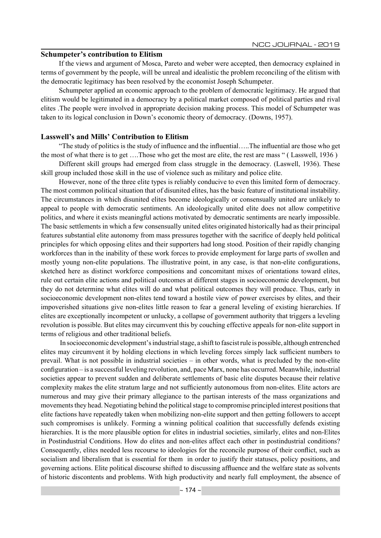#### **Schumpeter's contribution to Elitism**

If the views and argument of Mosca, Pareto and weber were accepted, then democracy explained in terms of government by the people, will be unreal and idealistic the problem reconciling of the elitism with the democratic legitimacy has been resolved by the economist Joseph Schumpeter.

Schumpeter applied an economic approach to the problem of democratic legitimacy. He argued that elitism would be legitimated in a democracy by a political market composed of political parties and rival elites .The people were involved in appropriate decision making process. This model of Schumpeter was taken to its logical conclusion in Down's economic theory of democracy. (Downs, 1957).

#### **Lasswell's and Mills' Contribution to Elitism**

"The study of politics is the study of influence and the influential…..The influential are those who get the most of what there is to get ….Those who get the most are elite, the rest are mass " ( Lasswell, 1936 )

Different skill groups had emerged from class struggle in the democracy. (Laswell, 1936). These skill group included those skill in the use of violence such as military and police elite.

However, none of the three elite types is reliably conducive to even this limited form of democracy. The most common political situation that of disunited elites, has the basic feature of institutional instability. The circumstances in which disunited elites become ideologically or consensually united are unlikely to appeal to people with democratic sentiments. An ideologically united elite does not allow competitive politics, and where it exists meaningful actions motivated by democratic sentiments are nearly impossible. The basic settlements in which a few consensually united elites originated historically had as their principal features substantial elite autonomy from mass pressures together with the sacrifice of deeply held political principles for which opposing elites and their supporters had long stood. Position of their rapidly changing workforces than in the inability of these work forces to provide employment for large parts of swollen and mostly young non-elite populations. The illustrative point, in any case, is that non-elite configurations, sketched here as distinct workforce compositions and concomitant mixes of orientations toward elites, rule out certain elite actions and political outcomes at different stages in socioeconomic development, but they do not determine what elites will do and what political outcomes they will produce. Thus, early in socioeconomic development non-elites tend toward a hostile view of power exercises by elites, and their impoverished situations give non-elites little reason to fear a general leveling of existing hierarchies. If elites are exceptionally incompetent or unlucky, a collapse of government authority that triggers a leveling revolution is possible. But elites may circumvent this by couching effective appeals for non-elite support in terms of religious and other traditional beliefs.

 In socioeconomic development's industrial stage, a shift to fascist rule is possible, although entrenched elites may circumvent it by holding elections in which leveling forces simply lack sufficient numbers to prevail. What is not possible in industrial societies – in other words, what is precluded by the non-elite configuration – is a successful leveling revolution, and, pace Marx, none has occurred. Meanwhile, industrial societies appear to prevent sudden and deliberate settlements of basic elite disputes because their relative complexity makes the elite stratum large and not sufficiently autonomous from non-elites. Elite actors are numerous and may give their primary allegiance to the partisan interests of the mass organizations and movements they head. Negotiating behind the political stage to compromise principled interest positions that elite factions have repeatedly taken when mobilizing non-elite support and then getting followers to accept such compromises is unlikely. Forming a winning political coalition that successfully defends existing hierarchies. It is the more plausible option for elites in industrial societies, similarly, elites and non-Elites in Postindustrial Conditions. How do elites and non-elites affect each other in postindustrial conditions? Consequently, elites needed less recourse to ideologies for the reconcile purpose of their conflict, such as socialism and liberalism that is essential for them in order to justify their statuses, policy positions, and governing actions. Elite political discourse shifted to discussing affluence and the welfare state as solvents of historic discontents and problems. With high productivity and nearly full employment, the absence of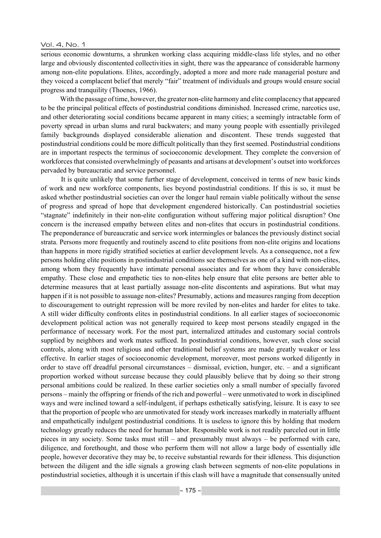#### Vol. 4, No. 1

serious economic downturns, a shrunken working class acquiring middle-class life styles, and no other large and obviously discontented collectivities in sight, there was the appearance of considerable harmony among non-elite populations. Elites, accordingly, adopted a more and more rude managerial posture and they voiced a complacent belief that merely "fair" treatment of individuals and groups would ensure social progress and tranquility (Thoenes, 1966).

 With the passage of time, however, the greater non-elite harmony and elite complacency that appeared to be the principal political effects of postindustrial conditions diminished. Increased crime, narcotics use, and other deteriorating social conditions became apparent in many cities; a seemingly intractable form of poverty spread in urban slums and rural backwaters; and many young people with essentially privileged family backgrounds displayed considerable alienation and discontent. These trends suggested that postindustrial conditions could be more difficult politically than they first seemed. Postindustrial conditions are in important respects the terminus of socioeconomic development. They complete the conversion of workforces that consisted overwhelmingly of peasants and artisans at development's outset into workforces pervaded by bureaucratic and service personnel.

 It is quite unlikely that some further stage of development, conceived in terms of new basic kinds of work and new workforce components, lies beyond postindustrial conditions. If this is so, it must be asked whether postindustrial societies can over the longer haul remain viable politically without the sense of progress and spread of hope that development engendered historically. Can postindustrial societies "stagnate" indefinitely in their non-elite configuration without suffering major political disruption? One concern is the increased empathy between elites and non-elites that occurs in postindustrial conditions. The preponderance of bureaucratic and service work intermingles or balances the previously distinct social strata. Persons more frequently and routinely ascend to elite positions from non-elite origins and locations than happens in more rigidly stratified societies at earlier development levels. As a consequence, not a few persons holding elite positions in postindustrial conditions see themselves as one of a kind with non-elites, among whom they frequently have intimate personal associates and for whom they have considerable empathy. These close and empathetic ties to non-elites help ensure that elite persons are better able to determine measures that at least partially assuage non-elite discontents and aspirations. But what may happen if it is not possible to assuage non-elites? Presumably, actions and measures ranging from deception to discouragement to outright repression will be more reviled by non-elites and harder for elites to take. A still wider difficulty confronts elites in postindustrial conditions. In all earlier stages of socioeconomic development political action was not generally required to keep most persons steadily engaged in the performance of necessary work. For the most part, internalized attitudes and customary social controls supplied by neighbors and work mates sufficed. In postindustrial conditions, however, such close social controls, along with most religious and other traditional belief systems are made greatly weaker or less effective. In earlier stages of socioeconomic development, moreover, most persons worked diligently in order to stave off dreadful personal circumstances – dismissal, eviction, hunger, etc. – and a significant proportion worked without surcease because they could plausibly believe that by doing so their strong personal ambitions could be realized. In these earlier societies only a small number of specially favored persons – mainly the offspring or friends of the rich and powerful – were unmotivated to work in disciplined ways and were inclined toward a self-indulgent, if perhaps esthetically satisfying, leisure. It is easy to see that the proportion of people who are unmotivated for steady work increases markedly in materially affluent and empathetically indulgent postindustrial conditions. It is useless to ignore this by holding that modern technology greatly reduces the need for human labor. Responsible work is not readily parceled out in little pieces in any society. Some tasks must still – and presumably must always – be performed with care, diligence, and forethought, and those who perform them will not allow a large body of essentially idle people, however decorative they may be, to receive substantial rewards for their idleness. This disjunction between the diligent and the idle signals a growing clash between segments of non-elite populations in postindustrial societies, although it is uncertain if this clash will have a magnitude that consensually united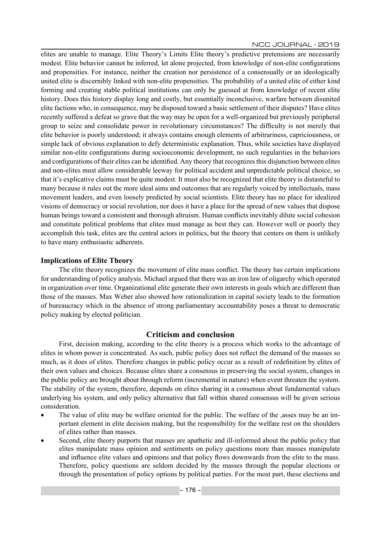elites are unable to manage. Elite Theory's Limits Elite theory's predictive pretensions are necessarily modest. Elite behavior cannot be inferred, let alone projected, from knowledge of non-elite configurations and propensities. For instance, neither the creation nor persistence of a consensually or an ideologically united elite is discernibly linked with non-elite propensities. The probability of a united elite of either kind forming and creating stable political institutions can only be guessed at from knowledge of recent elite history. Does this history display long and costly, but essentially inconclusive, warfare between disunited elite factions who, in consequence, may be disposed toward a basic settlement of their disputes? Have elites recently suffered a defeat so grave that the way may be open for a well-organized but previously peripheral group to seize and consolidate power in revolutionary circumstances? The difficulty is not merely that elite behavior is poorly understood; it always contains enough elements of arbitrariness, capriciousness, or simple lack of obvious explanation to defy deterministic explanation. Thus, while societies have displayed similar non-elite configurations during socioeconomic development, no such regularities in the behaviors and configurations of their elites can be identified. Any theory that recognizes this disjunction between elites and non-elites must allow considerable leeway for political accident and unpredictable political choice, so that it's explicative claims must be quite modest. It must also be recognized that elite theory is distasteful to many because it rules out the more ideal aims and outcomes that are regularly voiced by intellectuals, mass movement leaders, and even loosely predicted by social scientists. Elite theory has no place for idealized visions of democracy or social revolution, nor does it have a place for the spread of new values that dispose human beings toward a consistent and thorough altruism. Human conflicts inevitably dilute social cohesion and constitute political problems that elites must manage as best they can. However well or poorly they accomplish this task, elites are the central actors in politics, but the theory that centers on them is unlikely to have many enthusiastic adherents.

## **Implications of Elite Theory**

The elite theory recognizes the movement of elite mass conflict. The theory has certain implications for understanding of policy analysis. Michael argued that there was an iron law of oligarchy which operated in organization over time. Organizational elite generate their own interests in goals which are different than those of the masses. Max Weber also showed how rationalization in capital society leads to the formation of bureaucracy which in the absence of strong parliamentary accountability poses a threat to democratic policy making by elected politician.

## **Criticism and conclusion**

First, decision making, according to the elite theory is a process which works to the advantage of elites in whom power is concentrated. As such, public policy does not reflect the demand of the masses so much, as it does of elites. Therefore changes in public policy occur as a result of redefinition by elites of their own values and choices. Because elites share a consensus in preserving the social system, changes in the public policy are brought about through reform (incremental in nature) when event threaten the system. The stability of the system, therefore, depends on elites sharing in a consensus about fundamental values underlying his system, and only policy alternative that fall within shared consensus will be given serious consideration.

- The value of elite may be welfare oriented for the public. The welfare of the ,asses may be an important element in elite decision making, but the responsibility for the welfare rest on the shoulders of elites rather than masses.
- Second, elite theory purports that masses are apathetic and ill-informed about the public policy that elites manipulate mass opinion and sentiments on policy questions more than masses manipulate and influence elite values and opinions and that policy flows downwards from the elite to the mass. Therefore, policy questions are seldom decided by the masses through the popular elections or through the presentation of policy options by political parties. For the most part, these elections and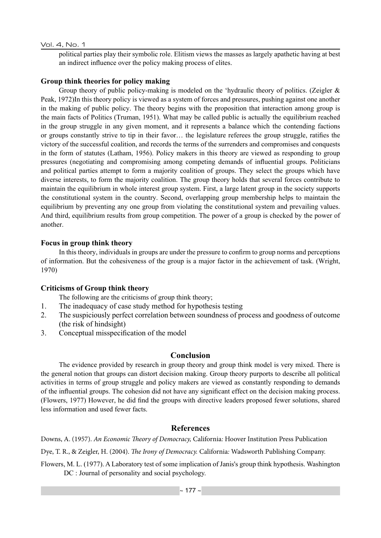#### Vol. 4, No. 1

political parties play their symbolic role. Elitism views the masses as largely apathetic having at best an indirect influence over the policy making process of elites.

## **Group think theories for policy making**

Group theory of public policy-making is modeled on the 'hydraulic theory of politics. (Zeigler & Peak, 1972)In this theory policy is viewed as a system of forces and pressures, pushing against one another in the making of public policy. The theory begins with the proposition that interaction among group is the main facts of Politics (Truman, 1951). What may be called public is actually the equilibrium reached in the group struggle in any given moment, and it represents a balance which the contending factions or groups constantly strive to tip in their favor… the legislature referees the group struggle, ratifies the victory of the successful coalition, and records the terms of the surrenders and compromises and conquests in the form of statutes (Latham, 1956). Policy makers in this theory are viewed as responding to group pressures (negotiating and compromising among competing demands of influential groups. Politicians and political parties attempt to form a majority coalition of groups. They select the groups which have diverse interests, to form the majority coalition. The group theory holds that several forces contribute to maintain the equilibrium in whole interest group system. First, a large latent group in the society supports the constitutional system in the country. Second, overlapping group membership helps to maintain the equilibrium by preventing any one group from violating the constitutional system and prevailing values. And third, equilibrium results from group competition. The power of a group is checked by the power of another.

#### **Focus in group think theory**

In this theory, individuals in groups are under the pressure to confirm to group norms and perceptions of information. But the cohesiveness of the group is a major factor in the achievement of task. (Wright, 1970)

#### **Criticisms of Group think theory**

The following are the criticisms of group think theory;

- 1. The inadequacy of case study method for hypothesis testing
- 2. The suspiciously perfect correlation between soundness of process and goodness of outcome (the risk of hindsight)
- 3. Conceptual misspecification of the model

## **Conclusion**

The evidence provided by research in group theory and group think model is very mixed. There is the general notion that groups can distort decision making. Group theory purports to describe all political activities in terms of group struggle and policy makers are viewed as constantly responding to demands of the influential groups. The cohesion did not have any significant effect on the decision making process. (Flowers, 1977) However, he did find the groups with directive leaders proposed fewer solutions, shared less information and used fewer facts.

## **References**

Downs, A. (1957). *An Economic Theory of Democracy,* California*:* Hoover Institution Press Publication

Dye, T. R., & Zeigler, H. (2004). *The Irony of Democracy.* California*:* Wadsworth Publishing Company.

Flowers, M. L. (1977). A Laboratory test of some implication of Janis's group think hypothesis. Washington DC : Journal of personality and social psychology.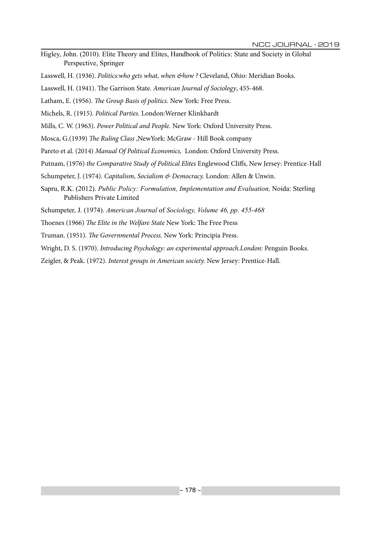- Higley, John. (2010). Elite Theory and Elites, Handbook of Politics: State and Society in Global Perspective, Springer
- Lasswell, H. (1936). *Politics:who gets what, when &how ?* Cleveland, Ohio: Meridian Books.
- Lasswell, H. (1941). The Garrison State. *American Journal of Sociology*, 455-468.
- Latham, E. (1956). *The Group Basis of politics.* New York: Free Press.
- Michels, R. (1915). *Political Parties.* London:Werner Klinkhardt
- Mills, C. W. (1963). *Power Political and People.* New York: Oxford University Press.
- Mosca, G.(1939) *The Ruling Class* ,NewYork: McGraw Hill Book company
- Pareto et al. (2014) *Manual Of Political Economics,* London: Oxford University Press.
- Putnam, (1976) *the Comparative Study of Political Elites* Englewood Cliffs, New Jersey: Prentice-Hall
- Schumpeter, J. (1974). *Capitalism, Socialism & Democracy.* London: Allen & Unwin.
- Sapru, R.K. (2012). *Public Policy: Formulation, Implementation and Evaluation,* Noida: Sterling Publishers Private Limited
- Schumpeter, J. (1974). *American Journal* of *Sociology, Volume 46, pp. 455-468*
- Thoenes (1966) *The Elite in the Welfare State* New York: The Free Press
- Truman. (1951). *The Governmental Process.* New York: Principia Press.
- Wright, D. S. (1970). *Introducing Psychology: an experimental approach.London:* Penguin Books.
- Zeigler, & Peak. (1972). *Interest groups in American society.* New Jersey: Prentice-Hall.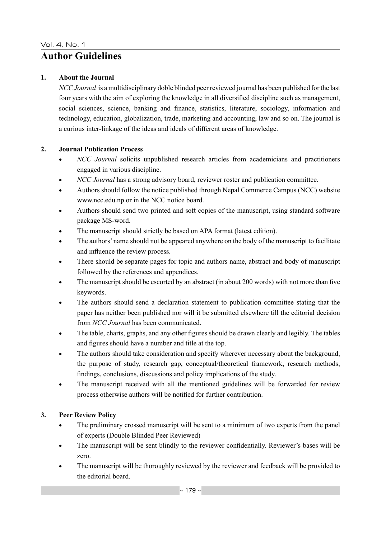## **Author Guidelines**

#### **1. About the Journal**

*NCC Journal* is a multidisciplinary doble blinded peer reviewed journal has been published for the last four years with the aim of exploring the knowledge in all diversified discipline such as management, social sciences, science, banking and finance, statistics, literature, sociology, information and technology, education, globalization, trade, marketing and accounting, law and so on. The journal is a curious inter-linkage of the ideas and ideals of different areas of knowledge.

## **2. Journal Publication Process**

- *NCC Journal* solicits unpublished research articles from academicians and practitioners engaged in various discipline.
- *NCC Journal* has a strong advisory board, reviewer roster and publication committee.
- Authors should follow the notice published through Nepal Commerce Campus (NCC) website www.ncc.edu.np or in the NCC notice board.
- Authors should send two printed and soft copies of the manuscript, using standard software package MS-word.
- The manuscript should strictly be based on APA format (latest edition).
- The authors' name should not be appeared anywhere on the body of the manuscript to facilitate and influence the review process.
- There should be separate pages for topic and authors name, abstract and body of manuscript followed by the references and appendices.
- The manuscript should be escorted by an abstract (in about 200 words) with not more than five keywords.
- The authors should send a declaration statement to publication committee stating that the paper has neither been published nor will it be submitted elsewhere till the editorial decision from *NCC Journal* has been communicated.
- The table, charts, graphs, and any other figures should be drawn clearly and legibly. The tables and figures should have a number and title at the top.
- The authors should take consideration and specify wherever necessary about the background, the purpose of study, research gap, conceptual/theoretical framework, research methods, findings, conclusions, discussions and policy implications of the study.
- The manuscript received with all the mentioned guidelines will be forwarded for review process otherwise authors will be notified for further contribution.

## **3. Peer Review Policy**

- The preliminary crossed manuscript will be sent to a minimum of two experts from the panel of experts (Double Blinded Peer Reviewed)
- The manuscript will be sent blindly to the reviewer confidentially. Reviewer's bases will be zero.
- The manuscript will be thoroughly reviewed by the reviewer and feedback will be provided to the editorial board.